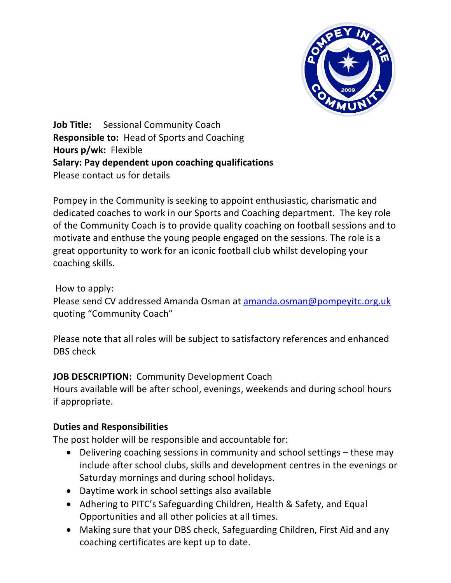

**Job Title:** Sessional Community Coach **Responsible to:** Head of Sports and Coaching **Hours p/wk:** Flexible **Salary: Pay dependent upon coaching qualifications**  Please contact us for details

Pompey in the Community is seeking to appoint enthusiastic, charismatic and dedicated coaches to work in our Sports and Coaching department. The key role of the Community Coach is to provide quality coaching on football sessions and to motivate and enthuse the young people engaged on the sessions. The role is a great opportunity to work for an iconic football club whilst developing your coaching skills.

How to apply:

Please send CV addressed Amanda Osman at amanda.osman@pompeyitc.org.uk quoting "Community Coach"

Please note that all roles will be subject to satisfactory references and enhanced DBS check

## **JOB DESCRIPTION:** Community Development Coach

Hours available will be after school, evenings, weekends and during school hours if appropriate.

## **Duties and Responsibilities**

The post holder will be responsible and accountable for:

- Delivering coaching sessions in community and school settings these may include after school clubs, skills and development centres in the evenings or Saturday mornings and during school holidays.
- Daytime work in school settings also available
- Adhering to PITC's Safeguarding Children, Health & Safety, and Equal Opportunities and all other policies at all times.
- Making sure that your DBS check, Safeguarding Children, First Aid and any coaching certificates are kept up to date.